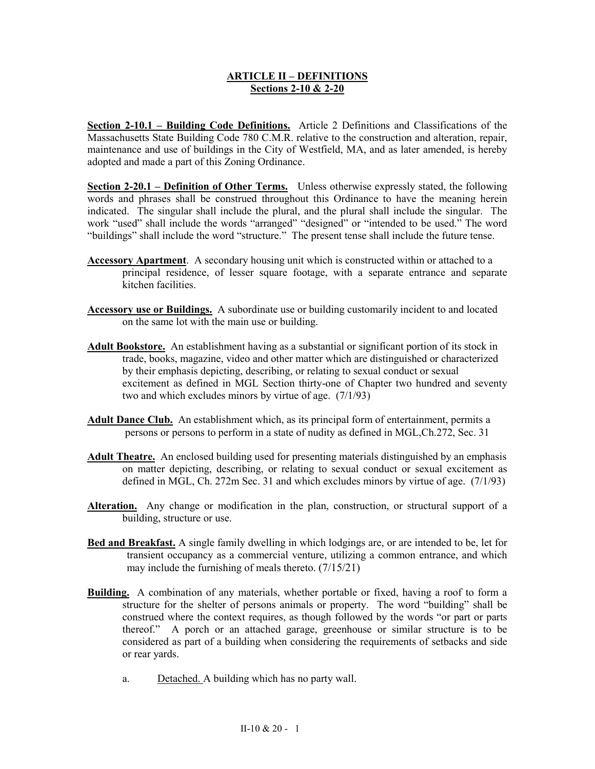## **ARTICLE II – DEFINITIONS Sections 2-10 & 2-20**

**Section 2-10.1 – Building Code Definitions.** Article 2 Definitions and Classifications of the Massachusetts State Building Code 780 C.M.R. relative to the construction and alteration, repair, maintenance and use of buildings in the City of Westfield, MA, and as later amended, is hereby adopted and made a part of this Zoning Ordinance.

**Section 2-20.1 – Definition of Other Terms.** Unless otherwise expressly stated, the following words and phrases shall be construed throughout this Ordinance to have the meaning herein indicated. The singular shall include the plural, and the plural shall include the singular. The work "used" shall include the words "arranged" "designed" or "intended to be used." The word "buildings" shall include the word "structure." The present tense shall include the future tense.

- **Accessory Apartment**. A secondary housing unit which is constructed within or attached to a principal residence, of lesser square footage, with a separate entrance and separate kitchen facilities.
- **Accessory use or Buildings.** A subordinate use or building customarily incident to and located on the same lot with the main use or building.
- **Adult Bookstore.** An establishment having as a substantial or significant portion of its stock in trade, books, magazine, video and other matter which are distinguished or characterized by their emphasis depicting, describing, or relating to sexual conduct or sexual excitement as defined in MGL Section thirty-one of Chapter two hundred and seventy two and which excludes minors by virtue of age. (7/1/93)
- **Adult Dance Club.** An establishment which, as its principal form of entertainment, permits a persons or persons to perform in a state of nudity as defined in MGL,Ch.272, Sec. 31
- **Adult Theatre.** An enclosed building used for presenting materials distinguished by an emphasis on matter depicting, describing, or relating to sexual conduct or sexual excitement as defined in MGL, Ch. 272m Sec. 31 and which excludes minors by virtue of age. (7/1/93)
- **Alteration.** Any change or modification in the plan, construction, or structural support of a building, structure or use.
- **Bed and Breakfast.** A single family dwelling in which lodgings are, or are intended to be, let for transient occupancy as a commercial venture, utilizing a common entrance, and which may include the furnishing of meals thereto.  $(7/15/21)$
- **Building.** A combination of any materials, whether portable or fixed, having a roof to form a structure for the shelter of persons animals or property. The word "building" shall be construed where the context requires, as though followed by the words "or part or parts thereof." A porch or an attached garage, greenhouse or similar structure is to be considered as part of a building when considering the requirements of setbacks and side or rear yards.
	- a. Detached. A building which has no party wall.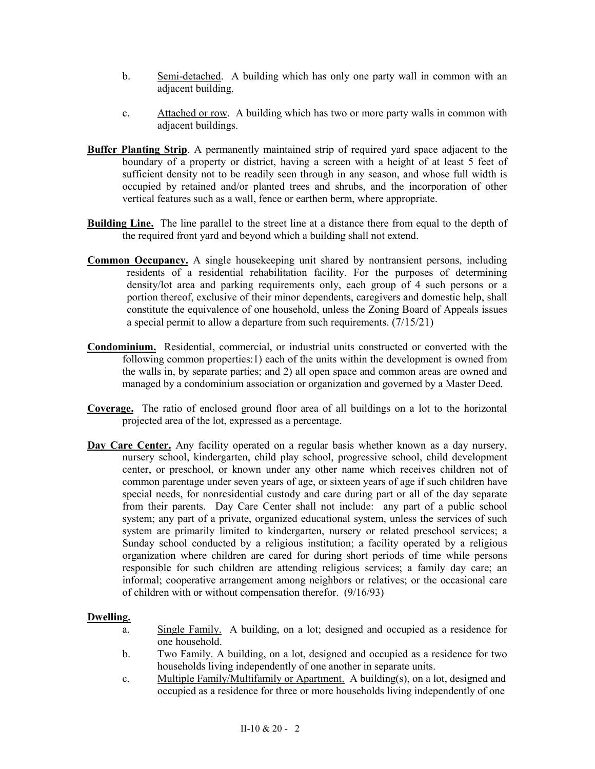- b. Semi-detached. A building which has only one party wall in common with an adjacent building.
- c. Attached or row. A building which has two or more party walls in common with adjacent buildings.
- **Buffer Planting Strip**. A permanently maintained strip of required yard space adjacent to the boundary of a property or district, having a screen with a height of at least 5 feet of sufficient density not to be readily seen through in any season, and whose full width is occupied by retained and/or planted trees and shrubs, and the incorporation of other vertical features such as a wall, fence or earthen berm, where appropriate.
- **Building Line.** The line parallel to the street line at a distance there from equal to the depth of the required front yard and beyond which a building shall not extend.
- **Common Occupancy.** A single housekeeping unit shared by nontransient persons, including residents of a residential rehabilitation facility. For the purposes of determining density/lot area and parking requirements only, each group of 4 such persons or a portion thereof, exclusive of their minor dependents, caregivers and domestic help, shall constitute the equivalence of one household, unless the Zoning Board of Appeals issues a special permit to allow a departure from such requirements. (7/15/21)
- **Condominium.** Residential, commercial, or industrial units constructed or converted with the following common properties:1) each of the units within the development is owned from the walls in, by separate parties; and 2) all open space and common areas are owned and managed by a condominium association or organization and governed by a Master Deed.
- **Coverage.** The ratio of enclosed ground floor area of all buildings on a lot to the horizontal projected area of the lot, expressed as a percentage.
- **Day Care Center.** Any facility operated on a regular basis whether known as a day nursery, nursery school, kindergarten, child play school, progressive school, child development center, or preschool, or known under any other name which receives children not of common parentage under seven years of age, or sixteen years of age if such children have special needs, for nonresidential custody and care during part or all of the day separate from their parents. Day Care Center shall not include: any part of a public school system; any part of a private, organized educational system, unless the services of such system are primarily limited to kindergarten, nursery or related preschool services; a Sunday school conducted by a religious institution; a facility operated by a religious organization where children are cared for during short periods of time while persons responsible for such children are attending religious services; a family day care; an informal; cooperative arrangement among neighbors or relatives; or the occasional care of children with or without compensation therefor. (9/16/93)

## **Dwelling.**

- a. Single Family. A building, on a lot; designed and occupied as a residence for one household.
- b. Two Family. A building, on a lot, designed and occupied as a residence for two households living independently of one another in separate units.
- c. Multiple Family/Multifamily or Apartment. A building(s), on a lot, designed and occupied as a residence for three or more households living independently of one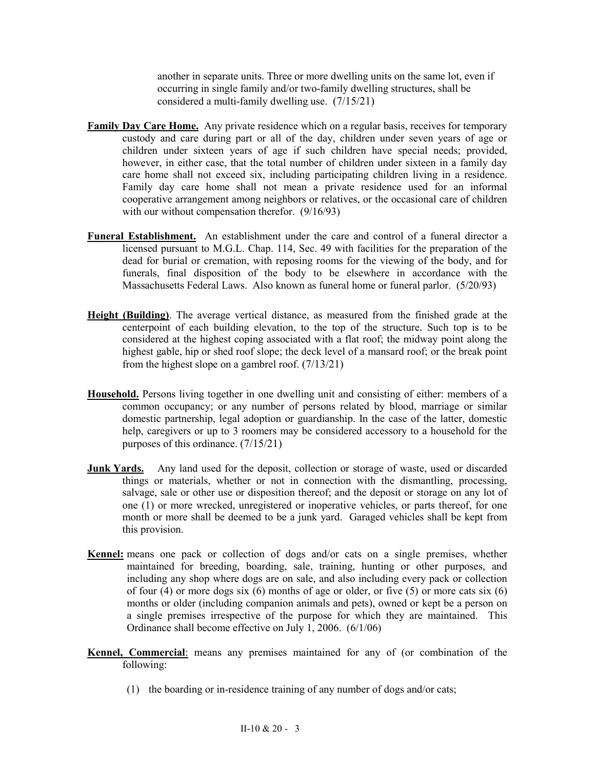another in separate units. Three or more dwelling units on the same lot, even if occurring in single family and/or two-family dwelling structures, shall be considered a multi-family dwelling use. (7/15/21)

- **Family Day Care Home.** Any private residence which on a regular basis, receives for temporary custody and care during part or all of the day, children under seven years of age or children under sixteen years of age if such children have special needs; provided, however, in either case, that the total number of children under sixteen in a family day care home shall not exceed six, including participating children living in a residence. Family day care home shall not mean a private residence used for an informal cooperative arrangement among neighbors or relatives, or the occasional care of children with our without compensation therefor. (9/16/93)
- **Funeral Establishment.** An establishment under the care and control of a funeral director a licensed pursuant to M.G.L. Chap. 114, Sec. 49 with facilities for the preparation of the dead for burial or cremation, with reposing rooms for the viewing of the body, and for funerals, final disposition of the body to be elsewhere in accordance with the Massachusetts Federal Laws. Also known as funeral home or funeral parlor. (5/20/93)
- **Height (Building)**. The average vertical distance, as measured from the finished grade at the centerpoint of each building elevation, to the top of the structure. Such top is to be considered at the highest coping associated with a flat roof; the midway point along the highest gable, hip or shed roof slope; the deck level of a mansard roof; or the break point from the highest slope on a gambrel roof. (7/13/21)
- **Household.** Persons living together in one dwelling unit and consisting of either: members of a common occupancy; or any number of persons related by blood, marriage or similar domestic partnership, legal adoption or guardianship. In the case of the latter, domestic help, caregivers or up to 3 roomers may be considered accessory to a household for the purposes of this ordinance. (7/15/21)
- **Junk Yards.** Any land used for the deposit, collection or storage of waste, used or discarded things or materials, whether or not in connection with the dismantling, processing, salvage, sale or other use or disposition thereof; and the deposit or storage on any lot of one (1) or more wrecked, unregistered or inoperative vehicles, or parts thereof, for one month or more shall be deemed to be a junk yard. Garaged vehicles shall be kept from this provision.
- **Kennel:** means one pack or collection of dogs and/or cats on a single premises, whether maintained for breeding, boarding, sale, training, hunting or other purposes, and including any shop where dogs are on sale, and also including every pack or collection of four (4) or more dogs six (6) months of age or older, or five (5) or more cats six (6) months or older (including companion animals and pets), owned or kept be a person on a single premises irrespective of the purpose for which they are maintained. This Ordinance shall become effective on July 1, 2006. (6/1/06)
- **Kennel, Commercial**: means any premises maintained for any of (or combination of the following:
	- (1) the boarding or in-residence training of any number of dogs and/or cats;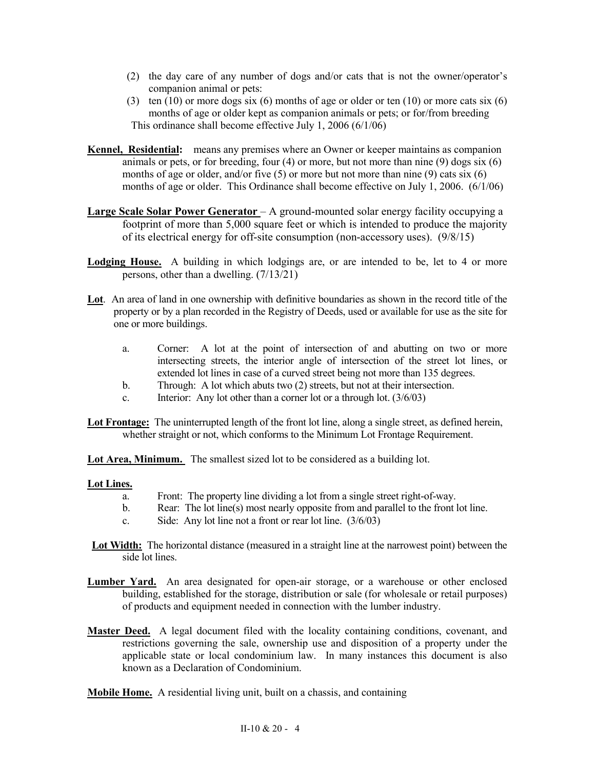- (2) the day care of any number of dogs and/or cats that is not the owner/operator's companion animal or pets:
- (3) ten  $(10)$  or more dogs six  $(6)$  months of age or older or ten  $(10)$  or more cats six  $(6)$ months of age or older kept as companion animals or pets; or for/from breeding This ordinance shall become effective July 1, 2006 (6/1/06)
- **Kennel, Residential:** means any premises where an Owner or keeper maintains as companion animals or pets, or for breeding, four  $(4)$  or more, but not more than nine  $(9)$  dogs six  $(6)$ months of age or older, and/or five  $(5)$  or more but not more than nine  $(9)$  cats six  $(6)$ months of age or older. This Ordinance shall become effective on July 1, 2006. (6/1/06)
- **Large Scale Solar Power Generator**  A ground-mounted solar energy facility occupying a footprint of more than 5,000 square feet or which is intended to produce the majority of its electrical energy for off-site consumption (non-accessory uses). (9/8/15)
- Lodging House. A building in which lodgings are, or are intended to be, let to 4 or more persons, other than a dwelling. (7/13/21)
- **Lot**. An area of land in one ownership with definitive boundaries as shown in the record title of the property or by a plan recorded in the Registry of Deeds, used or available for use as the site for one or more buildings.
	- a. Corner: A lot at the point of intersection of and abutting on two or more intersecting streets, the interior angle of intersection of the street lot lines, or extended lot lines in case of a curved street being not more than 135 degrees.
	- b. Through: A lot which abuts two (2) streets, but not at their intersection.
	- c. Interior: Any lot other than a corner lot or a through lot.  $(3/6/03)$
- **Lot Frontage:** The uninterrupted length of the front lot line, along a single street, as defined herein, whether straight or not, which conforms to the Minimum Lot Frontage Requirement.

**Lot Area, Minimum.** The smallest sized lot to be considered as a building lot.

## **Lot Lines.**

- a. Front: The property line dividing a lot from a single street right-of-way.
- b. Rear: The lot line(s) most nearly opposite from and parallel to the front lot line.
- c. Side: Any lot line not a front or rear lot line. (3/6/03)
- **Lot Width:** The horizontal distance (measured in a straight line at the narrowest point) between the side lot lines.
- **Lumber Yard.** An area designated for open-air storage, or a warehouse or other enclosed building, established for the storage, distribution or sale (for wholesale or retail purposes) of products and equipment needed in connection with the lumber industry.
- **Master Deed.** A legal document filed with the locality containing conditions, covenant, and restrictions governing the sale, ownership use and disposition of a property under the applicable state or local condominium law. In many instances this document is also known as a Declaration of Condominium.
- **Mobile Home.** A residential living unit, built on a chassis, and containing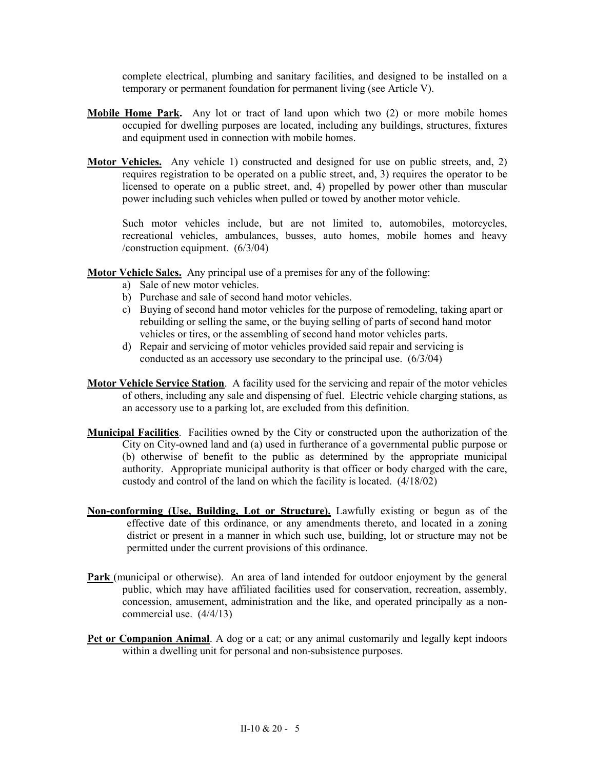complete electrical, plumbing and sanitary facilities, and designed to be installed on a temporary or permanent foundation for permanent living (see Article V).

- **Mobile Home Park.** Any lot or tract of land upon which two (2) or more mobile homes occupied for dwelling purposes are located, including any buildings, structures, fixtures and equipment used in connection with mobile homes.
- **Motor Vehicles.** Any vehicle 1) constructed and designed for use on public streets, and, 2) requires registration to be operated on a public street, and, 3) requires the operator to be licensed to operate on a public street, and, 4) propelled by power other than muscular power including such vehicles when pulled or towed by another motor vehicle.

Such motor vehicles include, but are not limited to, automobiles, motorcycles, recreational vehicles, ambulances, busses, auto homes, mobile homes and heavy /construction equipment. (6/3/04)

- **Motor Vehicle Sales.** Any principal use of a premises for any of the following:
	- a) Sale of new motor vehicles.
	- b) Purchase and sale of second hand motor vehicles.
	- c) Buying of second hand motor vehicles for the purpose of remodeling, taking apart or rebuilding or selling the same, or the buying selling of parts of second hand motor vehicles or tires, or the assembling of second hand motor vehicles parts.
	- d) Repair and servicing of motor vehicles provided said repair and servicing is conducted as an accessory use secondary to the principal use. (6/3/04)
- **Motor Vehicle Service Station**. A facility used for the servicing and repair of the motor vehicles of others, including any sale and dispensing of fuel. Electric vehicle charging stations, as an accessory use to a parking lot, are excluded from this definition.
- **Municipal Facilities**. Facilities owned by the City or constructed upon the authorization of the City on City-owned land and (a) used in furtherance of a governmental public purpose or (b) otherwise of benefit to the public as determined by the appropriate municipal authority. Appropriate municipal authority is that officer or body charged with the care, custody and control of the land on which the facility is located. (4/18/02)
- **Non-conforming (Use, Building, Lot or Structure).** Lawfully existing or begun as of the effective date of this ordinance, or any amendments thereto, and located in a zoning district or present in a manner in which such use, building, lot or structure may not be permitted under the current provisions of this ordinance.
- **Park** (municipal or otherwise). An area of land intended for outdoor enjoyment by the general public, which may have affiliated facilities used for conservation, recreation, assembly, concession, amusement, administration and the like, and operated principally as a noncommercial use. (4/4/13)
- **Pet or Companion Animal**. A dog or a cat; or any animal customarily and legally kept indoors within a dwelling unit for personal and non-subsistence purposes.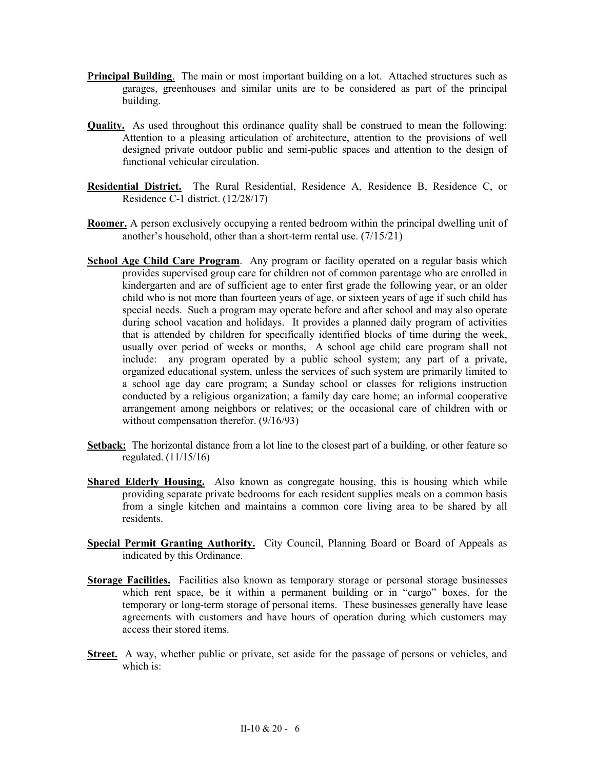- **Principal Building**. The main or most important building on a lot. Attached structures such as garages, greenhouses and similar units are to be considered as part of the principal building.
- **Quality.** As used throughout this ordinance quality shall be construed to mean the following: Attention to a pleasing articulation of architecture, attention to the provisions of well designed private outdoor public and semi-public spaces and attention to the design of functional vehicular circulation.
- **Residential District.** The Rural Residential, Residence A, Residence B, Residence C, or Residence C-1 district. (12/28/17)
- **Roomer.** A person exclusively occupying a rented bedroom within the principal dwelling unit of another's household, other than a short-term rental use. (7/15/21)
- **School Age Child Care Program**. Any program or facility operated on a regular basis which provides supervised group care for children not of common parentage who are enrolled in kindergarten and are of sufficient age to enter first grade the following year, or an older child who is not more than fourteen years of age, or sixteen years of age if such child has special needs. Such a program may operate before and after school and may also operate during school vacation and holidays. It provides a planned daily program of activities that is attended by children for specifically identified blocks of time during the week, usually over period of weeks or months, A school age child care program shall not include: any program operated by a public school system; any part of a private, organized educational system, unless the services of such system are primarily limited to a school age day care program; a Sunday school or classes for religions instruction conducted by a religious organization; a family day care home; an informal cooperative arrangement among neighbors or relatives; or the occasional care of children with or without compensation therefor.  $(9/16/93)$
- **Setback:** The horizontal distance from a lot line to the closest part of a building, or other feature so regulated. (11/15/16)
- **Shared Elderly Housing.** Also known as congregate housing, this is housing which while providing separate private bedrooms for each resident supplies meals on a common basis from a single kitchen and maintains a common core living area to be shared by all residents.
- **Special Permit Granting Authority.** City Council, Planning Board or Board of Appeals as indicated by this Ordinance.
- **Storage Facilities.** Facilities also known as temporary storage or personal storage businesses which rent space, be it within a permanent building or in "cargo" boxes, for the temporary or long-term storage of personal items. These businesses generally have lease agreements with customers and have hours of operation during which customers may access their stored items.
- **Street.** A way, whether public or private, set aside for the passage of persons or vehicles, and which is: